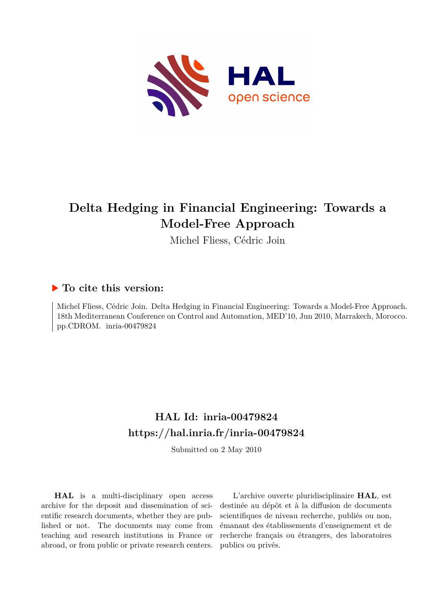

# **Delta Hedging in Financial Engineering: Towards a Model-Free Approach**

Michel Fliess, Cédric Join

### **To cite this version:**

Michel Fliess, Cédric Join. Delta Hedging in Financial Engineering: Towards a Model-Free Approach. 18th Mediterranean Conference on Control and Automation, MED'10, Jun 2010, Marrakech, Morocco. pp.CDROM. inria-00479824

## **HAL Id: inria-00479824 <https://hal.inria.fr/inria-00479824>**

Submitted on 2 May 2010

**HAL** is a multi-disciplinary open access archive for the deposit and dissemination of scientific research documents, whether they are published or not. The documents may come from teaching and research institutions in France or abroad, or from public or private research centers.

L'archive ouverte pluridisciplinaire **HAL**, est destinée au dépôt et à la diffusion de documents scientifiques de niveau recherche, publiés ou non, émanant des établissements d'enseignement et de recherche français ou étrangers, des laboratoires publics ou privés.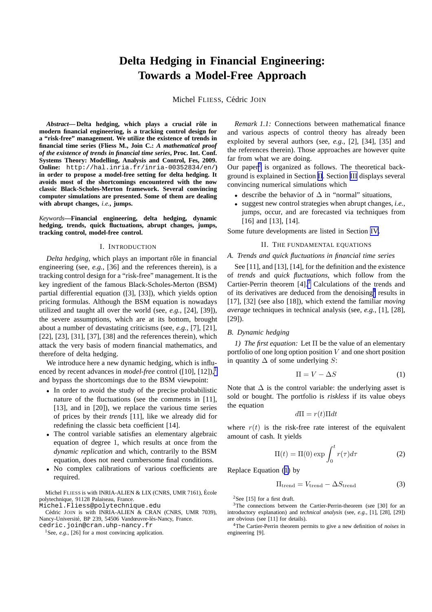## **Delta Hedging in Financial Engineering: Towards a Model-Free Approach**

Michel FLIESS, Cédric JOIN

<span id="page-1-0"></span>*Abstract*— Delta hedging, which plays a crucial rôle in **modern financial engineering, is a tracking control design for a "risk-free" management. We utilize the existence of trends in financial time series (Fliess M., Join C.:** *A mathematical proof of the existence of trends in financial time series***, Proc. Int. Conf. Systems Theory: Modelling, Analysis and Control, Fes, 2009. Online:** http://hal.inria.fr/inria-00352834/en/**) in order to propose a model-free setting for delta hedging. It avoids most of the shortcomings encountered with the now classic Black-Scholes-Merton framework. Several convincing computer simulations are presented. Some of them are dealing with abrupt changes,** *i.e.***, jumps.**

*Keywords***—Financial engineering, delta hedging, dynamic hedging, trends, quick fluctuations, abrupt changes, jumps, tracking control, model-free control.**

#### I. INTRODUCTION

*Delta hedging*, which plays an important rôle in financial engineering (see, *e.g.*, [36] and the references therein), is a tracking control design for a "risk-free" management. It is the key ingredient of the famous Black-Scholes-Merton (BSM) partial differential equation ([3], [33]), which yields option pricing formulas. Although the BSM equation is nowadays utilized and taught all over the world (see, *e.g.*, [24], [39]), the severe assumptions, which are at its bottom, brought about a number of devastating criticisms (see, *e.g.*, [7], [21], [22], [23], [31], [37], [38] and the references therein), which attack the very basis of modern financial mathematics, and therefore of delta hedging.

We introduce here a new dynamic hedging, which is influenced by recent advances in *model-free* control ([10], [12]),<sup>1</sup> and bypass the shortcomings due to the BSM viewpoint:

- In order to avoid the study of the precise probabilistic nature of the fluctuations (see the comments in [11], [13], and in [20]), we replace the various time series of prices by their *trends* [11], like we already did for redefining the classic beta coefficient [14].
- The control variable satisfies an elementary algebraic equation of degree 1, which results at once from the *dynamic replication* and which, contrarily to the BSM equation, does not need cumbersome final conditions.
- No complex calibrations of various coefficients are required.

Michel FLIESS is with INRIA-ALIEN & LIX (CNRS, UMR 7161), Ecole ´ polytechnique, 91128 Palaiseau, France.

Michel.Fliess@polytechnique.edu Cédric JOIN is with INRIA-ALIEN & CRAN (CNRS, UMR 7039), Nancy-Université, BP 239, 54506 Vandœuvre-lès-Nancy, France.

cedric.join@cran.uhp-nancy.fr

<sup>1</sup>See, *e.g.*, [26] for a most convincing application.

*Remark 1.1:* Connections between mathematical finance and various aspects of control theory has already been exploited by several authors (see, *e.g.*, [2], [34], [35] and the references therein). Those approaches are however quite far from what we are doing.

Our paper<sup>2</sup> is organized as follows. The theoretical background is explained in Section II. Section [III](#page-2-0) displays several convincing numerical simulations which

- describe the behavior of  $\Delta$  in "normal" situations,
- suggest new control strategies when abrupt changes, *i.e.*, jumps, occur, and are forecasted via techniques from [16] and [13], [14].

Some future developments are listed in Section [IV](#page-2-0).

#### II. THE FUNDAMENTAL EQUATIONS

#### *A. Trends and quick fluctuations in financial time series*

See [11], and [13], [14], for the definition and the existence of *trends* and *quick fluctuations*, which follow from the Cartier-Perrin theorem [4].<sup>3</sup> Calculations of the trends and of its derivatives are deduced from the denoising<sup>4</sup> results in [17], [32] (see also [18]), which extend the familiar *moving average* techniques in technical analysis (see, *e.g.*, [1], [28],  $[29]$ .

#### *B. Dynamic hedging*

*1) The first equation:* Let Π be the value of an elementary portfolio of one long option position  $V$  and one short position in quantity  $\Delta$  of some underlying S:

$$
\Pi = V - \Delta S \tag{1}
$$

Note that  $\Delta$  is the control variable: the underlying asset is sold or bought. The portfolio is *riskless* if its value obeys the equation

 $d\Pi = r(t)\Pi dt$ 

where  $r(t)$  is the risk-free rate interest of the equivalent amount of cash. It yields

$$
\Pi(t) = \Pi(0) \exp \int_0^t r(\tau) d\tau \tag{2}
$$

Replace Equation (1) by

$$
\Pi_{\text{trend}} = V_{\text{trend}} - \Delta S_{\text{trend}} \tag{3}
$$

<sup>2</sup>See [15] for a first draft.

 $3$ The connections between the Cartier-Perrin-theorem (see [30] for an introductory explanation) and *technical analysis* (see, *e.g.*, [1], [28], [29]) are obvious (see [11] for details).

<sup>4</sup>The Cartier-Perrin theorem permits to give a new definition of *noises* in engineering [9].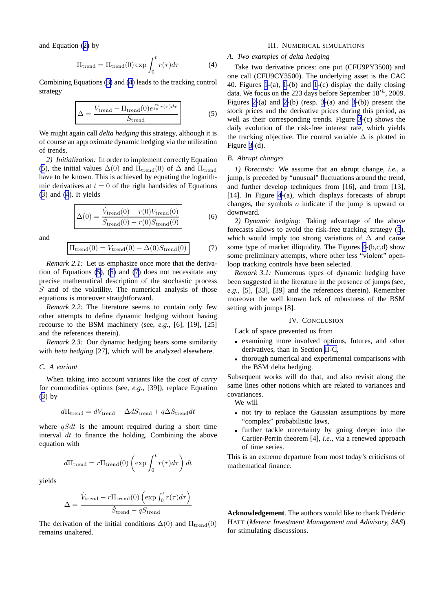<span id="page-2-0"></span>and Equation ([2\)](#page-1-0) by

$$
\Pi_{\text{trend}} = \Pi_{\text{trend}}(0) \exp \int_0^t r(\tau) d\tau \tag{4}
$$

Combining Equations ([3\)](#page-1-0) and (4) leads to the tracking control strategy

$$
\Delta = \frac{V_{\text{trend}} - \Pi_{\text{trend}}(0)e^{\int_0^t r(\tau)d\tau}}{S_{\text{trend}}}
$$
(5)

We might again call *delta hedging* this strategy, although it is of course an approximate dynamic hedging via the utilization of trends.

*2) Initialization:* In order to implement correctly Equation (5), the initial values  $\Delta(0)$  and  $\Pi_{\text{trend}}(0)$  of  $\Delta$  and  $\Pi_{\text{trend}}$ have to be known. This is achieved by equating the logarithmic derivatives at  $t = 0$  of the right handsides of Equations [\(3](#page-1-0)) and (4). It yields

$$
\Delta(0) = \frac{\dot{V}_{\text{trend}}(0) - r(0)V_{\text{trend}}(0)}{\dot{S}_{\text{trend}}(0) - r(0)S_{\text{trend}}(0)}
$$
(6)

and

$$
\Pi_{\text{trend}}(0) = V_{\text{trend}}(0) - \Delta(0)S_{\text{trend}}(0) \tag{7}
$$

*Remark 2.1:* Let us emphasize once more that the derivation of Equations (5), (6) and (7) does not necessitate any precise mathematical description of the stochastic process  $S$  and of the volatility. The numerical analysis of those equations is moreover straightforward.

*Remark 2.2:* The literature seems to contain only few other attempts to define dynamic hedging without having recourse to the BSM machinery (see, *e.g.*, [6], [19], [25] and the references therein).

*Remark 2.3:* Our dynamic hedging bears some similarity with *beta hedging* [27], which will be analyzed elsewhere.

#### *C. A variant*

When taking into account variants like the *cost of carry* for commodities options (see, *e.g.*, [39]), replace Equation [\(3](#page-1-0)) by

$$
d\Pi_{\text{trend}} = dV_{\text{trend}} - \Delta dS_{\text{trend}} + q\Delta S_{\text{trend}} dt
$$

where  $qSdt$  is the amount required during a short time interval dt to finance the holding. Combining the above equation with

$$
d\Pi_{\text{trend}} = r \Pi_{\text{trend}}(0) \left( \exp \int_0^t r(\tau) d\tau \right) dt
$$

yields

$$
\Delta = \frac{\dot{V}_{\text{trend}} - r \Pi_{\text{trend}}(0) \left(\exp \int_0^t r(\tau) d\tau\right)}{\dot{S}_{\text{trend}} - q S_{\text{trend}}}
$$

The derivation of the initial conditions  $\Delta(0)$  and  $\Pi_{\text{trend}}(0)$ remains unaltered.

#### III. NUMERICAL SIMULATIONS

#### *A. Two examples of delta hedging*

Take two derivative prices: one put (CFU9PY3500) and one call (CFU9CY3500). The underlying asset is the CAC 40. Figures [1-](#page-3-0)(a), [1-](#page-3-0)(b) and [1](#page-3-0)-(c) display the daily closing data. We focus on the 223 days before September  $18^{th}$ , 2009. Figures [2-](#page-4-0)(a) and [2-](#page-4-0)(b) (resp. [3-](#page-5-0)(a) and [3-](#page-5-0)(b)) present the stock prices and the derivative prices during this period, as well as their corresponding trends. Figure [3](#page-5-0)-(c) shows the daily evolution of the risk-free interest rate, which yields the tracking objective. The control variable  $\Delta$  is plotted in Figure [3-](#page-5-0)(d).

#### *B. Abrupt changes*

*1) Forecasts:* We assume that an abrupt change, *i.e.*, a jump, is preceded by "unusual" fluctuations around the trend, and further develop techniques from [16], and from [13], [14]. In Figure [4-](#page-6-0)(a), which displays forecasts of abrupt changes, the symbols  $\sigma$  indicate if the jump is upward or downward.

*2) Dynamic hedging:* Taking advantage of the above forecasts allows to avoid the risk-free tracking strategy (5), which would imply too strong variations of  $\Delta$  and cause some type of market illiquidity. The Figures [4](#page-6-0)-(b,c,d) show some preliminary attempts, where other less "violent" openloop tracking controls have been selected.

*Remark 3.1:* Numerous types of dynamic hedging have been suggested in the literature in the presence of jumps (see, *e.g.*, [5], [33], [39] and the references therein). Remember moreover the well known lack of robustness of the BSM setting with jumps [8].

#### IV. CONCLUSION

Lack of space prevented us from

- examining more involved options, futures, and other derivatives, than in Section II-C,
- thorough numerical and experimental comparisons with the BSM delta hedging.

Subsequent works will do that, and also revisit along the same lines other notions which are related to variances and covariances. We will

- not try to replace the Gaussian assumptions by more "complex" probabilistic laws,
- further tackle uncertainty by going deeper into the Cartier-Perrin theorem [4], *i.e.*, via a renewed approach of time series.

This is an extreme departure from most today's criticisms of mathematical finance.

Acknowledgement. The authors would like to thank Frédéric HATT (*Mereor Investment Management and Adivisory, SAS*) for stimulating discussions.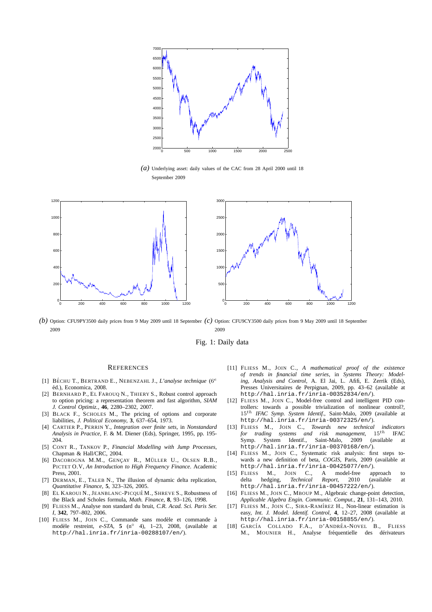<span id="page-3-0"></span>

*(a)* Underlying asset: daily values of the CAC from 28 April 2000 until 18 September 2009



*(b)* Option: CFU9PY3500 daily prices from 9 May 2009 until 18 September *(c)* Option: CFU9CY3500 daily prices from 9 May 2009 until 18 September 2009 2009

Fig. 1: Daily data

#### **REFERENCES**

- [1] BÉCHU T., BERTRAND E., NEBENZAHL J., *L'analyse technique* (6<sup>e</sup> ´ed.), Economica, 2008.
- [2] BERNHARD P., EL FAROUQ N., THIERY S., Robust control approach to option pricing: a representation theorem and fast algorithm, *SIAM J. Control Optimiz.*, **46**, 2280–2302, 2007.
- [3] BLACK F., SCHOLES M., The pricing of options and corporate liabilities, *J. Political Economy*, **3**, 637–654, 1973.
- [4] CARTIER P., PERRIN Y., *Integration over finite sets*, in *Nonstandard Analysis in Practice*, F. & M. Diener (Eds), Springer, 1995, pp. 195- 204.
- [5] CONT R., TANKOV P., *Financial Modelling with Jump Processes*, Chapman & Hall/CRC, 2004.
- [6] DACOROGNA M.M., GENÇAY R., MÜLLER U., OLSEN R.B., PICTET O.V, *An Introduction to High Frequency Finance*. Academic Press, 2001.
- [7] DERMAN, E., TALEB N., The illusion of dynamic delta replication, *Quantitative Finance*, **5**, 323–326, 2005.
- [8] EL KAROUI N., JEANBLANC-PICQUÉ M., SHREVE S., Robustness of the Black and Scholes formula, *Math. Finance*, **8**, 93–126, 1998.
- [9] FLIESS M., Analyse non standard du bruit, *C.R. Acad. Sci. Paris Ser. I*, **342**, 797–802, 2006.
- [10] FLIESS M., JOIN C., Commande sans modèle et commande à modèle restreint, *e-STA*, **5** (n<sup>○</sup> 4), 1–23, 2008, (available at http://hal.inria.fr/inria-00288107/en/).
- [11] FLIESS M., JOIN C., *A mathematical proof of the existence of trends in financial time series*, in *Systems Theory: Modeling, Analysis and Control*, A. El Jai, L. Afifi, E. Zerrik (Eds), Presses Universitaires de Perpignan, 2009, pp. 43–62 (available at http://hal.inria.fr/inria-00352834/en/).
- [12] FLIESS M., JOIN C., Model-free control and intelligent PID controllers: towards a possible trivialization of nonlinear control?, 15th *IFAC Symp. System Identif.*, Saint-Malo, 2009 (available at http://hal.inria.fr/inria-00372325/en/).
- [13] FLIESS M., JOIN C., *Towards new technical indicators for trading systems and risk management*,  $15^{th}$  IFAC Symp. System Identif., Saint-Malo, 2009 (available at Symp. System Identif., Saint-Malo, 2009 (available at http://hal.inria.fr/inria-00370168/en/).
- [14] FLIESS M., JOIN C., Systematic risk analysis: first steps towards a new definition of beta, *COGIS*, Paris, 2009 (available at http://hal.inria.fr/inria-00425077/en/).
- [15] FLIESS M., JOIN C., A model-free approach to delta hedging, *Technical Report*, 2010 (available at http://hal.inria.fr/inria-00457222/en/).
- [16] FLIESS M., JOIN C., MBOUP M., Algebraic change-point detection, *Applicable Algebra Engin. Communic. Comput.*, **21**, 131–143, 2010.
- [17] FLIESS M., JOIN C., SIRA-RAMÍREZ H., Non-linear estimation is easy, *Int. J. Model. Identif. Control*, **4**, 12–27, 2008 (available at http://hal.inria.fr/inria-00158855/en/).
- [18] GARCÍA COLLADO F.A., D'ANDRÉA-NOVEL B., FLIESS M., MOUNIER H., Analyse fréquentielle des dérivateurs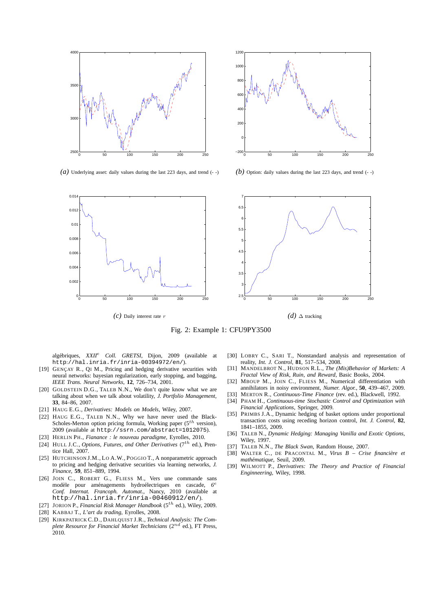<span id="page-4-0"></span>

*(a)* Underlying asset: daily values during the last 223 days, and trend (- -)



*(b)* Option: daily values during the last 223 days, and trend  $(-)$ 



Fig. 2: Example 1: CFU9PY3500

alg´ebriques, *XXII*<sup>e</sup> *Coll. GRETSI*, Dijon, 2009 (available at http://hal.inria.fr/inria-00394972/en/).

- [19] GENÇAY R., QI M., Pricing and hedging derivative securities with neural networks: bayesian regularization, early stopping, and bagging, *IEEE Trans. Neural Networks*, **12**, 726–734, 2001.
- [20] GOLDSTEIN D.G., TALEB N.N., We don't quite know what we are talking about when we talk about volatility, *J. Portfolio Management*, **33**, 84–86, 2007.
- [21] HAUG E.G., *Derivatives: Models on Models*, Wiley, 2007.
- [22] HAUG E.G., TALEB N.N., Why we have never used the Black-Scholes-Merton option pricing formula, Working paper ( $5^{th}$  version), 2009 (available at http://ssrn.com/abstract=1012075).
- [23] HERLIN PH., *Fianance : le nouveau paradigme*, Eyrolles, 2010.
- [24] HULL J.C., *Options, Futures, and Other Derivatives* (7<sup>th</sup> ed.), Prentice Hall, 2007.
- [25] HUTCHINSON J.M., LO A.W., POGGIO T., A nonparametric approach to pricing and hedging derivative securities via learning networks, *J. Finance*, **59**, 851–889, 1994.
- [26] JOIN C., ROBERT G., FLIESS M., Vers une commande sans modèle pour aménagements hydroélectriques en cascade, *Conf. Internat. Francoph. Automat.*, Nancy, 2010 (available at http://hal.inria.fr/inria-00460912/en/).
- [27] JORION P., *Financial Risk Manager Handbook* (5th ed.), Wiley, 2009. [28] KABBAJ T., *L'art du trading*, Eyrolles, 2008.
- [29] KIRKPATRICK C.D., DAHLQUIST J.R., *Technical Analysis: The Complete Resource for Financial Market Technicians* (2nd ed.), FT Press, 2010.
- [30] LOBRY C., SARI T., Nonstandard analysis and representation of reality, *Int. J. Control*, **81**, 517–534, 2008.
- [31] MANDELBROT N., HUDSON R.L., *The (Mis)Behavior of Markets: A Fractal View of Risk, Ruin, and Reward*, Basic Books, 2004.
- [32] MBOUP M., JOIN C., FLIESS M., Numerical differentiation with annihilators in noisy environment, *Numer. Algor.*, **50**, 439–467, 2009.
- [33] MERTON R., *Continuous-Time Finance* (rev. ed.), Blackwell, 1992.
- [34] PHAM H., *Continuous-time Stochastic Control and Optimization with Financial Applications*, Springer, 2009.
- [35] PRIMBS J.A., Dynamic hedging of basket options under proportional transaction costs using receding horizon control, *Int. J. Control*, **82**, 1841–1855, 2009.
- [36] TALEB N., *Dynamic Hedging: Managing Vanilla and Exotic Options*, Wiley, 1997.
- [37] TALEB N.N., *The Black Swan*, Random House, 2007.
- [38] WALTER C., DE PRACONTAL M., *Virus B Crise financière et math´ematique*, Seuil, 2009.
- [39] WILMOTT P., *Derivatives: The Theory and Practice of Financial Enginneering*, Wiley, 1998.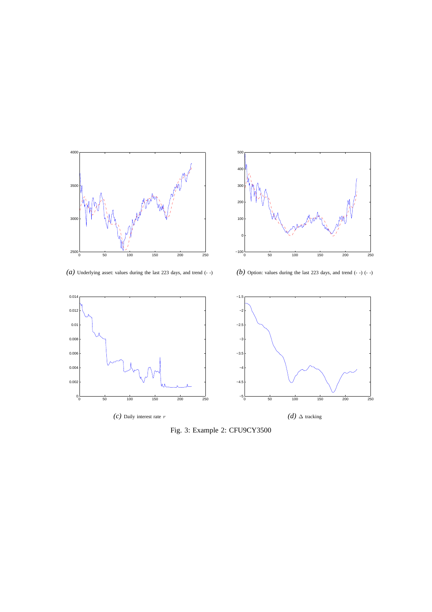<span id="page-5-0"></span>



*(a)* Underlying asset: values during the last 223 days, and trend (- -)

*(b)* Option: values during the last 223 days, and trend (- -) (- -)



Fig. 3: Example 2: CFU9CY3500